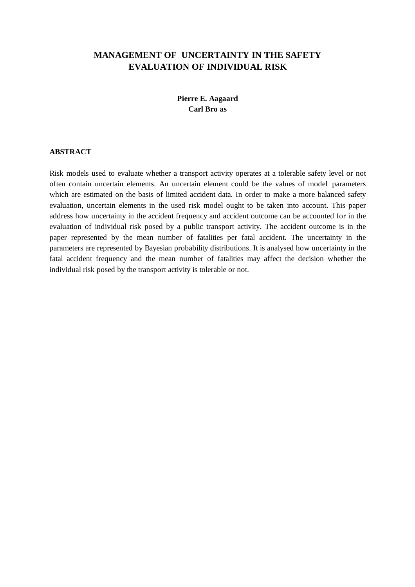# **MANAGEMENT OF UNCERTAINTY IN THE SAFETY EVALUATION OF INDIVIDUAL RISK**

# **Pierre E. Aagaard Carl Bro as**

## **ABSTRACT**

Risk models used to evaluate whether a transport activity operates at a tolerable safety level or not often contain uncertain elements. An uncertain element could be the values of model parameters which are estimated on the basis of limited accident data. In order to make a more balanced safety evaluation, uncertain elements in the used risk model ought to be taken into account. This paper address how uncertainty in the accident frequency and accident outcome can be accounted for in the evaluation of individual risk posed by a public transport activity. The accident outcome is in the paper represented by the mean number of fatalities per fatal accident. The uncertainty in the parameters are represented by Bayesian probability distributions. It is analysed how uncertainty in the fatal accident frequency and the mean number of fatalities may affect the decision whether the individual risk posed by the transport activity is tolerable or not.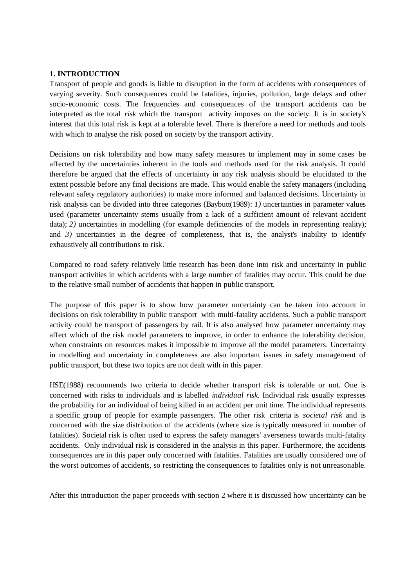# **1. INTRODUCTION**

Transport of people and goods is liable to disruption in the form of accidents with consequences of varying severity. Such consequences could be fatalities, injuries, pollution, large delays and other socio-economic costs. The frequencies and consequences of the transport accidents can be interpreted as the total *risk* which the transport activity imposes on the society. It is in society's interest that this total risk is kept at a tolerable level. There is therefore a need for methods and tools with which to analyse the risk posed on society by the transport activity.

Decisions on risk tolerability and how many safety measures to implement may in some cases be affected by the uncertainties inherent in the tools and methods used for the risk analysis. It could therefore be argued that the effects of uncertainty in any risk analysis should be elucidated to the extent possible before any final decisions are made. This would enable the safety managers (including relevant safety regulatory authorities) to make more informed and balanced decisions. Uncertainty in risk analysis can be divided into three categories (Baybutt(1989): *1)* uncertainties in parameter values used (parameter uncertainty stems usually from a lack of a sufficient amount of relevant accident data); 2) uncertainties in modelling (for example deficiencies of the models in representing reality); and 3) uncertainties in the degree of completeness, that is, the analyst's inability to identify exhaustively all contributions to risk.

Compared to road safety relatively little research has been done into risk and uncertainty in public transport activities in which accidents with a large number of fatalities may occur. This could be due to the relative small number of accidents that happen in public transport.

The purpose of this paper is to show how parameter uncertainty can be taken into account in decisions on risk tolerability in public transport with multi-fatality accidents. Such a public transport activity could be transport of passengers by rail. It is also analysed how parameter uncertainty may affect which of the risk model parameters to improve, in order to enhance the tolerability decision, when constraints on resources makes it impossible to improve all the model parameters. Uncertainty in modelling and uncertainty in completeness are also important issues in safety management of public transport, but these two topics are not dealt with in this paper.

HSE(1988) recommends two criteria to decide whether transport risk is tolerable or not. One is concerned with risks to individuals and is labelled *individual risk*. Individual risk usually expresses the probability for an individual of being killed in an accident per unit time. The individual represents a specific group of people for example passengers. The other risk criteria is *societal risk* and is concerned with the size distribution of the accidents (where size is typically measured in number of fatalities). Societal risk is often used to express the safety managers' averseness towards multi-fatality accidents. Only individual risk is considered in the analysis in this paper. Furthermore, the accidents consequences are in this paper only concerned with fatalities. Fatalities are usually considered one of the worst outcomes of accidents, so restricting the consequences to fatalities only is not unreasonable.

After this introduction the paper proceeds with section 2 where it is discussed how uncertainty can be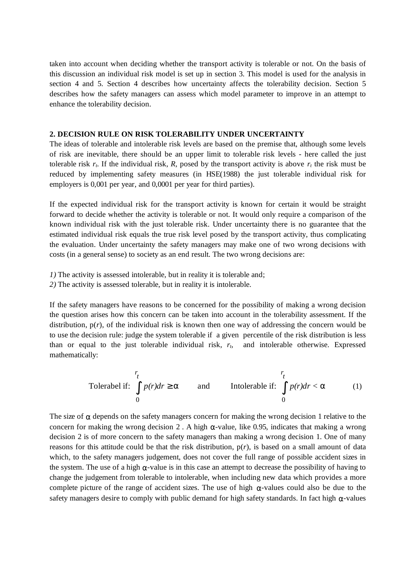taken into account when deciding whether the transport activity is tolerable or not. On the basis of this discussion an individual risk model is set up in section 3. This model is used for the analysis in section 4 and 5. Section 4 describes how uncertainty affects the tolerability decision. Section 5 describes how the safety managers can assess which model parameter to improve in an attempt to enhance the tolerability decision.

### **2. DECISION RULE ON RISK TOLERABILITY UNDER UNCERTAINTY**

The ideas of tolerable and intolerable risk levels are based on the premise that, although some levels of risk are inevitable, there should be an upper limit to tolerable risk levels - here called the just tolerable risk  $r_t$ . If the individual risk, R, posed by the transport activity is above  $r_t$  the risk must be reduced by implementing safety measures (in HSE(1988) the just tolerable individual risk for employers is 0,001 per year, and 0,0001 per year for third parties).

If the expected individual risk for the transport activity is known for certain it would be straight forward to decide whether the activity is tolerable or not. It would only require a comparison of the known individual risk with the just tolerable risk. Under uncertainty there is no guarantee that the estimated individual risk equals the true risk level posed by the transport activity, thus complicating the evaluation. Under uncertainty the safety managers may make one of two wrong decisions with costs (in a general sense) to society as an end result. The two wrong decisions are:

- *1)* The activity is assessed intolerable, but in reality it is tolerable and;
- *2)* The activity is assessed tolerable, but in reality it is intolerable.

If the safety managers have reasons to be concerned for the possibility of making a wrong decision the question arises how this concern can be taken into account in the tolerability assessment. If the distribution,  $p(r)$ , of the individual risk is known then one way of addressing the concern would be to use the decision rule: judge the system tolerable if a given percentile of the risk distribution is less than or equal to the just tolerable individual risk, *rt*, and intolerable otherwise. Expressed mathematically:

Tolerabel if:

\n
$$
\int_{0}^{r} p(r) dr \geq a \qquad \text{and} \qquad \text{Intolerable if: } \int_{0}^{r} p(r) dr < a \qquad (1)
$$

The size of *a* depends on the safety managers concern for making the wrong decision 1 relative to the concern for making the wrong decision 2 . A high *a*-value, like 0.95, indicates that making a wrong decision 2 is of more concern to the safety managers than making a wrong decision 1. One of many reasons for this attitude could be that the risk distribution, p(*r*), is based on a small amount of data which, to the safety managers judgement, does not cover the full range of possible accident sizes in the system. The use of a high *a*-value is in this case an attempt to decrease the possibility of having to change the judgement from tolerable to intolerable, when including new data which provides a more complete picture of the range of accident sizes. The use of high *a*-values could also be due to the safety managers desire to comply with public demand for high safety standards. In fact high *a*-values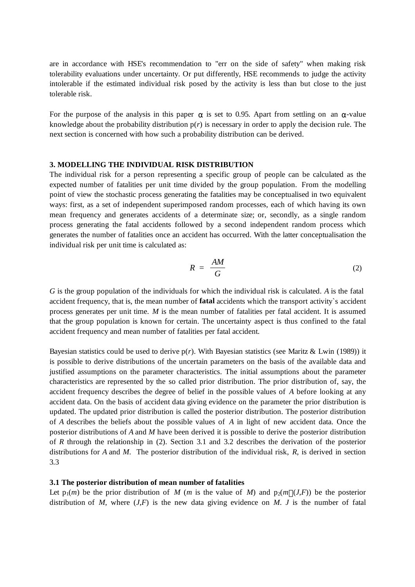are in accordance with HSE's recommendation to "err on the side of safety" when making risk tolerability evaluations under uncertainty. Or put differently, HSE recommends to judge the activity intolerable if the estimated individual risk posed by the activity is less than but close to the just tolerable risk.

For the purpose of the analysis in this paper *a* is set to 0.95. Apart from settling on an *a*-value knowledge about the probability distribution p(*r*) is necessary in order to apply the decision rule. The next section is concerned with how such a probability distribution can be derived.

#### **3. MODELLING THE INDIVIDUAL RISK DISTRIBUTION**

The individual risk for a person representing a specific group of people can be calculated as the expected number of fatalities per unit time divided by the group population. From the modelling point of view the stochastic process generating the fatalities may be conceptualised in two equivalent ways: first, as a set of independent superimposed random processes, each of which having its own mean frequency and generates accidents of a determinate size; or, secondly, as a single random process generating the fatal accidents followed by a second independent random process which generates the number of fatalities once an accident has occurred. With the latter conceptualisation the individual risk per unit time is calculated as:

$$
R = \frac{AM}{G} \tag{2}
$$

*G* is the group population of the individuals for which the individual risk is calculated. *A* is the fatal accident frequency, that is, the mean number of **fatal** accidents which the transport activity`s accident process generates per unit time. *M* is the mean number of fatalities per fatal accident. It is assumed that the group population is known for certain. The uncertainty aspect is thus confined to the fatal accident frequency and mean number of fatalities per fatal accident.

Bayesian statistics could be used to derive p(*r*). With Bayesian statistics (see Maritz & Lwin (1989)) it is possible to derive distributions of the uncertain parameters on the basis of the available data and justified assumptions on the parameter characteristics. The initial assumptions about the parameter characteristics are represented by the so called prior distribution. The prior distribution of, say, the accident frequency describes the degree of belief in the possible values of *A* before looking at any accident data. On the basis of accident data giving evidence on the parameter the prior distribution is updated. The updated prior distribution is called the posterior distribution. The posterior distribution of *A* describes the beliefs about the possible values of *A* in light of new accident data. Once the posterior distributions of *A* and *M* have been derived it is possible to derive the posterior distribution of *R* through the relationship in (2). Section 3.1 and 3.2 describes the derivation of the posterior distributions for *A* and *M*. The posterior distribution of the individual risk, *R*, is derived in section 3.3

#### **3.1 The posterior distribution of mean number of fatalities**

Let  $p_1(m)$  be the prior distribution of *M* (*m* is the value of *M*) and  $p_2(m|(J,F))$  be the posterior distribution of *M*, where (*J*,*F*) is the new data giving evidence on *M*. *J* is the number of fatal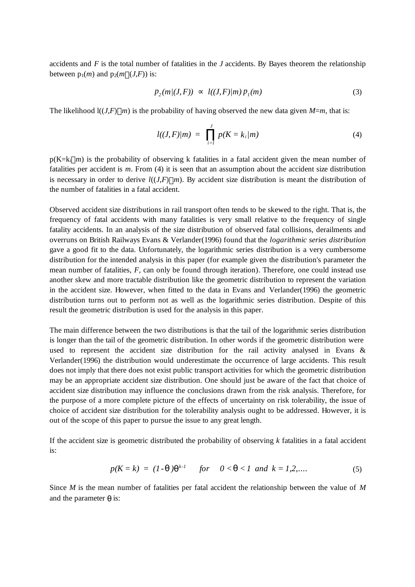accidents and *F* is the total number of fatalities in the *J* accidents. By Bayes theorem the relationship between  $p_1(m)$  and  $p_2(m|(J,F))$  is:

$$
p_2(m/(J, F)) \propto l((J, F)/m) \, p_1(m) \tag{3}
$$

The likelihood  $\left(\frac{I(J,F)}{m}\right)$  is the probability of having observed the new data given *M*=*m*, that is:

$$
l((J, F)/m) = \prod_{i=1}^{J} p(K = k_i/m)
$$
 (4)

 $p(K=k_i|m)$  is the probability of observing k fatalities in a fatal accident given the mean number of fatalities per accident is *m*. From (4) it is seen that an assumption about the accident size distribution is necessary in order to derive  $l((J,F)|m)$ . By accident size distribution is meant the distribution of the number of fatalities in a fatal accident.

Observed accident size distributions in rail transport often tends to be skewed to the right. That is, the frequency of fatal accidents with many fatalities is very small relative to the frequency of single fatality accidents. In an analysis of the size distribution of observed fatal collisions, derailments and overruns on British Railways Evans & Verlander(1996) found that the *logarithmic series distribution* gave a good fit to the data. Unfortunately, the logarithmic series distribution is a very cumbersome distribution for the intended analysis in this paper (for example given the distribution's parameter the mean number of fatalities, *F,* can only be found through iteration). Therefore, one could instead use another skew and more tractable distribution like the geometric distribution to represent the variation in the accident size. However, when fitted to the data in Evans and Verlander(1996) the geometric distribution turns out to perform not as well as the logarithmic series distribution. Despite of this result the geometric distribution is used for the analysis in this paper.

The main difference between the two distributions is that the tail of the logarithmic series distribution is longer than the tail of the geometric distribution. In other words if the geometric distribution were used to represent the accident size distribution for the rail activity analysed in Evans & Verlander(1996) the distribution would underestimate the occurrence of large accidents. This result does not imply that there does not exist public transport activities for which the geometric distribution may be an appropriate accident size distribution. One should just be aware of the fact that choice of accident size distribution may influence the conclusions drawn from the risk analysis. Therefore, for the purpose of a more complete picture of the effects of uncertainty on risk tolerability, the issue of choice of accident size distribution for the tolerability analysis ought to be addressed. However, it is out of the scope of this paper to pursue the issue to any great length.

If the accident size is geometric distributed the probability of observing *k* fatalities in a fatal accident is:

$$
p(K = k) = (1 - q)q^{k-l} \quad \text{for} \quad 0 < q < 1 \text{ and } k = 1, 2, \dots \tag{5}
$$

Since *M* is the mean number of fatalities per fatal accident the relationship between the value of *M* and the parameter *q* is: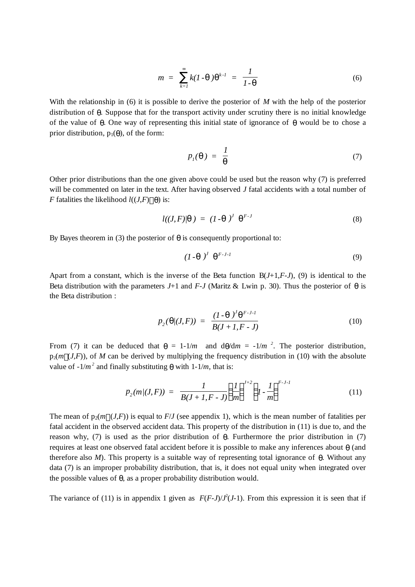$$
m = \sum_{k=1}^{\infty} k(I \cdot \mathbf{q}) \mathbf{q}^{k-l} = \frac{1}{I \cdot \mathbf{q}}
$$
 (6)

With the relationship in (6) it is possible to derive the posterior of *M* with the help of the posterior distribution of *q*. Suppose that for the transport activity under scrutiny there is no initial knowledge of the value of *q*. One way of representing this initial state of ignorance of *q* would be to chose a prior distribution,  $p_1(q)$ , of the form:

$$
p_i(\mathbf{q}) = \frac{1}{\mathbf{q}} \tag{7}
$$

Other prior distributions than the one given above could be used but the reason why (7) is preferred will be commented on later in the text. After having observed *J* fatal accidents with a total number of *F* fatalities the likelihood  $l((J,F) | q)$  is:

$$
l((J, F)/q) = (I - q)^J q^{F-J}
$$
\n(8)

By Bayes theorem in (3) the posterior of  $q$  is consequently proportional to:

$$
(1-q)^J q^{F-J-1} \tag{9}
$$

Apart from a constant, which is the inverse of the Beta function B(*J*+1,*F*-*J*), (9) is identical to the Beta distribution with the parameters  $J+1$  and  $F-J$  (Maritz & Lwin p. 30). Thus the posterior of *q* is the Beta distribution :

$$
p_2(\mathbf{q}/(J, F)) = \frac{(1 - \mathbf{q})^J \mathbf{q}^{F \cdot J \cdot I}}{B(J + I, F - J)}
$$
(10)

From (7) it can be deduced that  $q = 1-1/m$  and  $dq/dm = -1/m^2$ . The posterior distribution,  $p_2(m|(J,F))$ , of M can be derived by multiplying the frequency distribution in (10) with the absolute value of  $-1/m^2$  and finally substituting  $q$  with  $1-1/m$ , that is:

$$
p_2(m/(J, F)) = \frac{1}{B(J+I, F-J)} \left(\frac{1}{m}\right)^{J+2} \left(1 - \frac{1}{m}\right)^{F-J-I}
$$
 (11)

The mean of  $p_2(m|(J,F))$  is equal to  $F/J$  (see appendix 1), which is the mean number of fatalities per fatal accident in the observed accident data. This property of the distribution in (11) is due to, and the reason why, (7) is used as the prior distribution of *q*. Furthermore the prior distribution in (7) requires at least one observed fatal accident before it is possible to make any inferences about *q* (and therefore also *M*). This property is a suitable way of representing total ignorance of *q*. Without any data (7) is an improper probability distribution, that is, it does not equal unity when integrated over the possible values of *q*, as a proper probability distribution would.

The variance of (11) is in appendix 1 given as  $F(F-J)/J^2(J-1)$ . From this expression it is seen that if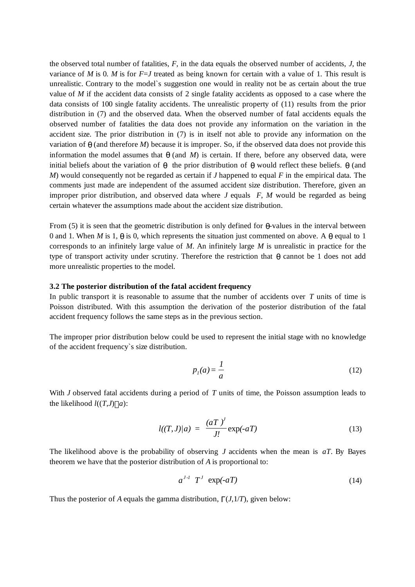the observed total number of fatalities, *F*, in the data equals the observed number of accidents, *J*, the variance of *M* is 0. *M* is for *F*=*J* treated as being known for certain with a value of 1. This result is unrealistic. Contrary to the model`s suggestion one would in reality not be as certain about the true value of *M* if the accident data consists of 2 single fatality accidents as opposed to a case where the data consists of 100 single fatality accidents. The unrealistic property of (11) results from the prior distribution in (7) and the observed data. When the observed number of fatal accidents equals the observed number of fatalities the data does not provide any information on the variation in the accident size. The prior distribution in (7) is in itself not able to provide any information on the variation of  $q$  (and therefore *M*) because it is improper. So, if the observed data does not provide this information the model assumes that  $q$  (and *M*) is certain. If there, before any observed data, were initial beliefs about the variation of  $q$  the prior distribution of  $q$  would reflect these beliefs.  $q$  (and *M*) would consequently not be regarded as certain if *J* happened to equal *F* in the empirical data. The comments just made are independent of the assumed accident size distribution. Therefore, given an improper prior distribution, and observed data where *J* equals *F*, *M* would be regarded as being certain whatever the assumptions made about the accident size distribution.

From (5) it is seen that the geometric distribution is only defined for  $\boldsymbol{q}$ -values in the interval between 0 and 1. When *M* is 1,  $q$  is 0, which represents the situation just commented on above. A  $q$  equal to 1 corresponds to an infinitely large value of *M*. An infinitely large *M* is unrealistic in practice for the type of transport activity under scrutiny. Therefore the restriction that *q* cannot be 1 does not add more unrealistic properties to the model.

### **3.2 The posterior distribution of the fatal accident frequency**

In public transport it is reasonable to assume that the number of accidents over *T* units of time is Poisson distributed. With this assumption the derivation of the posterior distribution of the fatal accident frequency follows the same steps as in the previous section.

The improper prior distribution below could be used to represent the initial stage with no knowledge of the accident frequency`s size distribution.

$$
p_l(a) = \frac{l}{a} \tag{12}
$$

With *J* observed fatal accidents during a period of *T* units of time, the Poisson assumption leads to the likelihood  $l((T,J) \mid a)$ :

$$
l((T, J)/a) = \frac{(aT)^J}{J!} \exp(-aT)
$$
 (13)

The likelihood above is the probability of observing *J* accidents when the mean is *aT*. By Bayes theorem we have that the posterior distribution of *A* is proportional to:

$$
a^{J \cdot I} \quad T^J \quad \exp(-aT) \tag{14}
$$

Thus the posterior of *A* equals the gamma distribution, Γ(*J*,1/*T*), given below: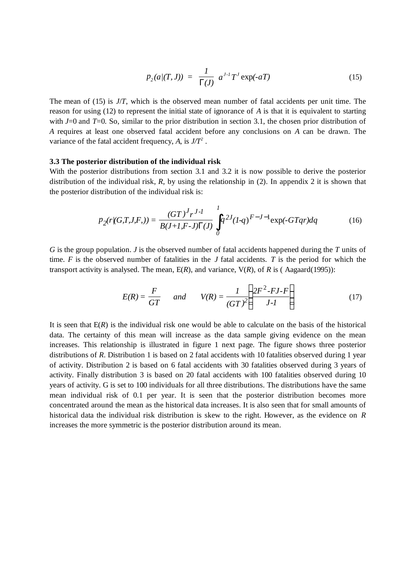$$
p_2(a|(T,J)) = \frac{1}{\Gamma(J)} a^{J \cdot I} T^{J} \exp(-aT)
$$
 (15)

The mean of (15) is *J*/*T*, which is the observed mean number of fatal accidents per unit time. The reason for using (12) to represent the initial state of ignorance of *A* is that it is equivalent to starting with *J*=0 and *T*=0. So, similar to the prior distribution in section 3.1, the chosen prior distribution of *A* requires at least one observed fatal accident before any conclusions on *A* can be drawn. The variance of the fatal accident frequency,  $A$ , is  $J/T^2$ .

#### **3.3 The posterior distribution of the individual risk**

With the posterior distributions from section 3.1 and 3.2 it is now possible to derive the posterior distribution of the individual risk, *R*, by using the relationship in (2). In appendix 2 it is shown that the posterior distribution of the individual risk is:

$$
p_2(r|(G,T,J,F,)) = \frac{(GT)^J r^{J-l}}{B(J+I,F-J)\Gamma(J)} \int_0^1 q^{2J} (1-q)^{F-J-1} \exp(-GTqr) dq \tag{16}
$$

*G* is the group population. *J* is the observed number of fatal accidents happened during the *T* units of time.  $F$  is the observed number of fatalities in the  $J$  fatal accidents.  $T$  is the period for which the transport activity is analysed. The mean, E(*R*), and variance, V(*R*), of *R* is ( Aagaard(1995)):

$$
E(R) = \frac{F}{GT} \qquad and \qquad V(R) = \frac{1}{(GT)^2} \left( \frac{2F^2 - FJ - F}{J - I} \right) \tag{17}
$$

It is seen that  $E(R)$  is the individual risk one would be able to calculate on the basis of the historical data. The certainty of this mean will increase as the data sample giving evidence on the mean increases. This relationship is illustrated in figure 1 next page. The figure shows three posterior distributions of *R*. Distribution 1 is based on 2 fatal accidents with 10 fatalities observed during 1 year of activity. Distribution 2 is based on 6 fatal accidents with 30 fatalities observed during 3 years of activity. Finally distribution 3 is based on 20 fatal accidents with 100 fatalities observed during 10 years of activity. G is set to 100 individuals for all three distributions. The distributions have the same mean individual risk of 0.1 per year. It is seen that the posterior distribution becomes more concentrated around the mean as the historical data increases. It is also seen that for small amounts of historical data the individual risk distribution is skew to the right. However, as the evidence on *R* increases the more symmetric is the posterior distribution around its mean.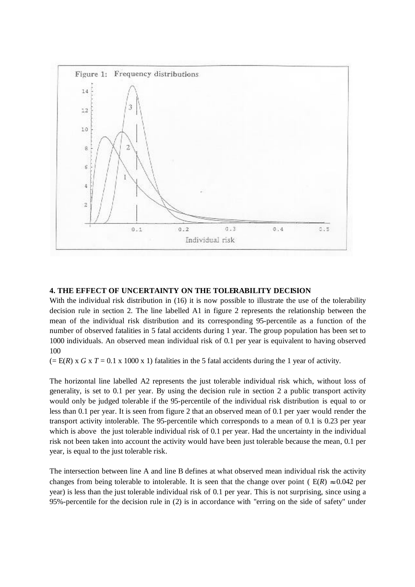

## **4. THE EFFECT OF UNCERTAINTY ON THE TOLERABILITY DECISION**

With the individual risk distribution in (16) it is now possible to illustrate the use of the tolerability decision rule in section 2. The line labelled A1 in figure 2 represents the relationship between the mean of the individual risk distribution and its corresponding 95-percentile as a function of the number of observed fatalities in 5 fatal accidents during 1 year. The group population has been set to 1000 individuals. An observed mean individual risk of 0.1 per year is equivalent to having observed 100

 $(= E(R) \times G \times T = 0.1 \times 1000 \times 1)$  fatalities in the 5 fatal accidents during the 1 year of activity.

The horizontal line labelled A2 represents the just tolerable individual risk which, without loss of generality, is set to 0.1 per year. By using the decision rule in section 2 a public transport activity would only be judged tolerable if the 95-percentile of the individual risk distribution is equal to or less than 0.1 per year. It is seen from figure 2 that an observed mean of 0.1 per yaer would render the transport activity intolerable. The 95-percentile which corresponds to a mean of 0.1 is 0.23 per year which is above the just tolerable individual risk of 0.1 per year. Had the uncertainty in the individual risk not been taken into account the activity would have been just tolerable because the mean, 0.1 per year, is equal to the just tolerable risk.

The intersection between line A and line B defines at what observed mean individual risk the activity changes from being tolerable to intolerable. It is seen that the change over point ( $E(R) \approx 0.042$  per year) is less than the just tolerable individual risk of 0.1 per year. This is not surprising, since using a 95%-percentile for the decision rule in (2) is in accordance with "erring on the side of safety" under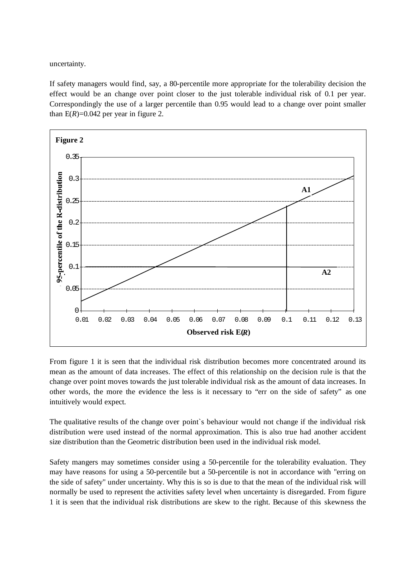uncertainty.

If safety managers would find, say, a 80-percentile more appropriate for the tolerability decision the effect would be an change over point closer to the just tolerable individual risk of 0.1 per year. Correspondingly the use of a larger percentile than 0.95 would lead to a change over point smaller than  $E(R)=0.042$  per year in figure 2.



From figure 1 it is seen that the individual risk distribution becomes more concentrated around its mean as the amount of data increases. The effect of this relationship on the decision rule is that the change over point moves towards the just tolerable individual risk as the amount of data increases. In other words, the more the evidence the less is it necessary to "err on the side of safety" as one intuitively would expect.

The qualitative results of the change over point`s behaviour would not change if the individual risk distribution were used instead of the normal approximation. This is also true had another accident size distribution than the Geometric distribution been used in the individual risk model.

Safety mangers may sometimes consider using a 50-percentile for the tolerability evaluation. They may have reasons for using a 50-percentile but a 50-percentile is not in accordance with "erring on the side of safety" under uncertainty. Why this is so is due to that the mean of the individual risk will normally be used to represent the activities safety level when uncertainty is disregarded. From figure 1 it is seen that the individual risk distributions are skew to the right. Because of this skewness the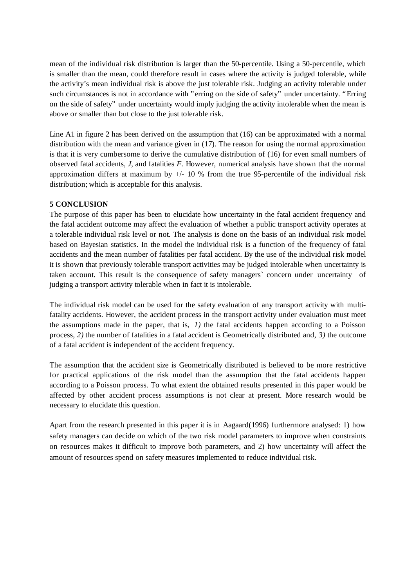mean of the individual risk distribution is larger than the 50-percentile. Using a 50-percentile, which is smaller than the mean, could therefore result in cases where the activity is judged tolerable, while the activity's mean individual risk is above the just tolerable risk. Judging an activity tolerable under such circumstances is not in accordance with "erring on the side of safety" under uncertainty. "Erring on the side of safety" under uncertainty would imply judging the activity intolerable when the mean is above or smaller than but close to the just tolerable risk.

Line A1 in figure 2 has been derived on the assumption that (16) can be approximated with a normal distribution with the mean and variance given in (17). The reason for using the normal approximation is that it is very cumbersome to derive the cumulative distribution of (16) for even small numbers of observed fatal accidents, *J,* and fatalities *F*. However, numerical analysis have shown that the normal approximation differs at maximum by  $+/- 10$  % from the true 95-percentile of the individual risk distribution; which is acceptable for this analysis.

## **5 CONCLUSION**

The purpose of this paper has been to elucidate how uncertainty in the fatal accident frequency and the fatal accident outcome may affect the evaluation of whether a public transport activity operates at a tolerable individual risk level or not. The analysis is done on the basis of an individual risk model based on Bayesian statistics. In the model the individual risk is a function of the frequency of fatal accidents and the mean number of fatalities per fatal accident. By the use of the individual risk model it is shown that previously tolerable transport activities may be judged intolerable when uncertainty is taken account. This result is the consequence of safety managers` concern under uncertainty of judging a transport activity tolerable when in fact it is intolerable.

The individual risk model can be used for the safety evaluation of any transport activity with multifatality accidents. However, the accident process in the transport activity under evaluation must meet the assumptions made in the paper, that is, *1)* the fatal accidents happen according to a Poisson process, *2)* the number of fatalities in a fatal accident is Geometrically distributed and, *3)* the outcome of a fatal accident is independent of the accident frequency.

The assumption that the accident size is Geometrically distributed is believed to be more restrictive for practical applications of the risk model than the assumption that the fatal accidents happen according to a Poisson process. To what extent the obtained results presented in this paper would be affected by other accident process assumptions is not clear at present. More research would be necessary to elucidate this question.

Apart from the research presented in this paper it is in Aagaard(1996) furthermore analysed: 1) how safety managers can decide on which of the two risk model parameters to improve when constraints on resources makes it difficult to improve both parameters, and 2) how uncertainty will affect the amount of resources spend on safety measures implemented to reduce individual risk.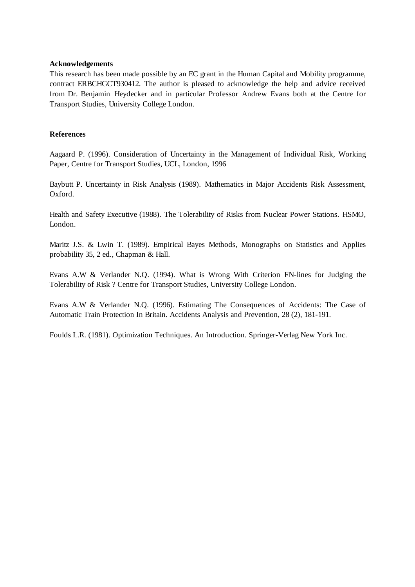#### **Acknowledgements**

This research has been made possible by an EC grant in the Human Capital and Mobility programme, contract ERBCHGCT930412. The author is pleased to acknowledge the help and advice received from Dr. Benjamin Heydecker and in particular Professor Andrew Evans both at the Centre for Transport Studies, University College London.

### **References**

Aagaard P. (1996). Consideration of Uncertainty in the Management of Individual Risk, Working Paper, Centre for Transport Studies, UCL, London, 1996

Baybutt P. Uncertainty in Risk Analysis (1989). Mathematics in Major Accidents Risk Assessment, Oxford.

Health and Safety Executive (1988). The Tolerability of Risks from Nuclear Power Stations. HSMO, London.

Maritz J.S. & Lwin T. (1989). Empirical Bayes Methods, Monographs on Statistics and Applies probability 35, 2 ed., Chapman & Hall.

Evans A.W & Verlander N.Q. (1994). What is Wrong With Criterion FN-lines for Judging the Tolerability of Risk ? Centre for Transport Studies, University College London.

Evans A.W & Verlander N.Q. (1996). Estimating The Consequences of Accidents: The Case of Automatic Train Protection In Britain. Accidents Analysis and Prevention, 28 (2), 181-191.

Foulds L.R. (1981). Optimization Techniques. An Introduction. Springer-Verlag New York Inc.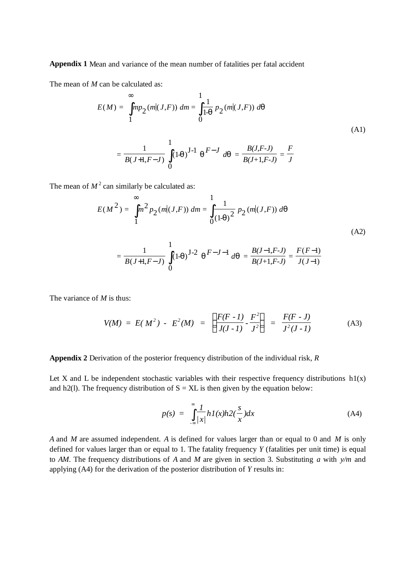**Appendix 1** Mean and variance of the mean number of fatalities per fatal accident

The mean of *M* can be calculated as:

$$
E(M) = \int_{1}^{\infty} m p_2(m|(J, F)) dm = \int_{0}^{1} \frac{1}{1-q} p_2(m|(J, F)) dq
$$
  
= 
$$
\frac{1}{B(J+1, F-J)} \int_{0}^{1} (1-q)^{J-1} q^{F-J} dq = \frac{B(J, F-J)}{B(J+1, F-J)} = \frac{F}{J}
$$
 (A1)

The mean of  $M^2$  can similarly be calculated as:

$$
E(M^{2}) = \int_{1}^{\infty} m^{2} p_{2}(m|(J, F)) dm = \int_{0}^{1} \frac{1}{(1-q)^{2}} p_{2}(m|(J, F)) dq
$$
\n(A2)

$$
= \frac{1}{B(J+1,F-J)}\int_{0}^{1} (1-q)^{J-2} \, q^{F-J-1} \, dq = \frac{B(J-1,F-J)}{B(J+1,F-J)} = \frac{F(F-1)}{J(J-1)}
$$

The variance of *M* is thus:

$$
V(M) = E(M^2) - E^2(M) = \left(\frac{F(F - I)}{J(J - I)} - \frac{F^2}{J^2}\right) = \frac{F(F - J)}{J^2(J - I)}
$$
(A3)

#### **Appendix 2** Derivation of the posterior frequency distribution of the individual risk, *R*

Let X and L be independent stochastic variables with their respective frequency distributions  $h1(x)$ and h2(1). The frequency distribution of  $S = XL$  is then given by the equation below:

$$
p(s) = \int_{-\infty}^{\infty} \frac{1}{|x|} h I(x) h 2(\frac{s}{x}) dx
$$
 (A4)

*A* and *M* are assumed independent. *A* is defined for values larger than or equal to 0 and *M* is only defined for values larger than or equal to 1. The fatality frequency *Y* (fatalities per unit time) is equal to *AM*. The frequency distributions of *A* and *M* are given in section 3. Substituting *a* with *y/m* and applying (A4) for the derivation of the posterior distribution of *Y* results in: